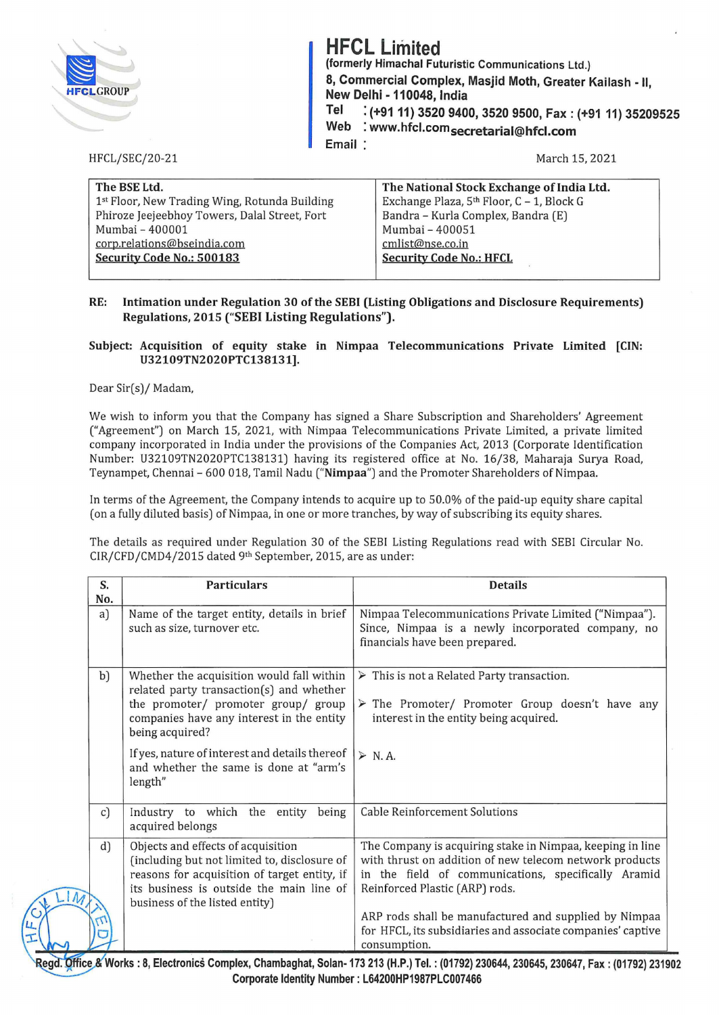

HFCL/SEC/20-21

## **HFCL Limited**

 **(formerly Himachal Futuristic Communications Ltd.) 8, Commercial Complex, Masjid Moth, Greater Kailash -II, New Delhi - 110048, India** 

**Tel : (+9111) 3520 9400, 3520 9500, Fax: (+91 11) 35209525 Web : www.hfcl.com 5ecretarial@hfcl.com** 

**Email** 

March 15, 2021

| The BSE Ltd.                                  | The National Stock Exchange of India Ltd. |
|-----------------------------------------------|-------------------------------------------|
| 1st Floor, New Trading Wing, Rotunda Building | Exchange Plaza, 5th Floor, C - 1, Block G |
| Phiroze Jeejeebhoy Towers, Dalal Street, Fort | Bandra - Kurla Complex, Bandra (E)        |
| Mumbai - 400001                               | Mumbai - 400051                           |
| corp.relations@bseindia.com                   | cmlist@nse.co.in                          |
| Security Code No.: 500183                     | <b>Security Code No.: HFCL</b>            |
|                                               |                                           |

## **RE: Intimation under Regulation 30 of the SEBI (Listing Obligations and Disclosure Requirements) Regulations, 2015 ("SEBI Listing Regulations").**

## **Subject: Acquisition of equity stake in Nimpaa Telecommunications Private Limited [CIN: U32109TN2020PTC138131].**

Dear Sir(s)/ Madam,

We wish to inform you that the Company has signed a Share Subscription and Shareholders' Agreement ("Agreement") on March 15, 2021, with Nimpaa Telecommunications Private Limited, a private limited company incorporated in India under the provisions of the Companies Act, 2013 (Corporate Identification Number: U32109TN2020PTC138131) having its registered office at No. 16/38, Maharaja Surya Road, Teynampet, Chennai- 600 018, Tamil Nadu **("Nimpaa")** and the Promoter Shareholders of Nimpaa.

In terms of the Agreement, the Company intends to acquire up to 50.0% of the paid-up equity share capital (on a fully diluted basis) of Nimpaa, in one or more tranches, by way of subscribing its equity shares.

The details as required under Regulation 30 of the SEBI Listing Regulations read with SEBI Circular No. CIR/CFD/CMD4/2015 dated 9th September, 2015, are as under:

| S.<br>No.    | <b>Particulars</b>                                                                                                                                                                           | <b>Details</b>                                                                                                                                                                                                |
|--------------|----------------------------------------------------------------------------------------------------------------------------------------------------------------------------------------------|---------------------------------------------------------------------------------------------------------------------------------------------------------------------------------------------------------------|
| a)           | Name of the target entity, details in brief<br>such as size, turnover etc.                                                                                                                   | Nimpaa Telecommunications Private Limited ("Nimpaa").<br>Since, Nimpaa is a newly incorporated company, no<br>financials have been prepared.                                                                  |
| b)           | Whether the acquisition would fall within<br>related party transaction(s) and whether<br>the promoter/ promoter group/ group<br>companies have any interest in the entity<br>being acquired? | $\triangleright$ This is not a Related Party transaction.<br>$\triangleright$ The Promoter/ Promoter Group doesn't have any<br>interest in the entity being acquired.                                         |
|              | If yes, nature of interest and details thereof<br>and whether the same is done at "arm's<br>length"                                                                                          | $> N.A$ .                                                                                                                                                                                                     |
| $\mathbf{C}$ | Industry to which the entity<br>being<br>acquired belongs                                                                                                                                    | <b>Cable Reinforcement Solutions</b>                                                                                                                                                                          |
| d)           | Objects and effects of acquisition<br>(including but not limited to, disclosure of<br>reasons for acquisition of target entity, if<br>its business is outside the main line of               | The Company is acquiring stake in Nimpaa, keeping in line<br>with thrust on addition of new telecom network products<br>in the field of communications, specifically Aramid<br>Reinforced Plastic (ARP) rods. |
|              | business of the listed entity)                                                                                                                                                               | ARP rods shall be manufactured and supplied by Nimpaa<br>for HFCL, its subsidiaries and associate companies' captive<br>consumption.                                                                          |

231902 (1792) : Tel. : 0644, 230647, Fax: 8, Works: 8, Electronics Complex, Chambaghat, Solan- 173 213 (H.P.) Tel Corporate Identity Number : L64200HP1987PLC007466